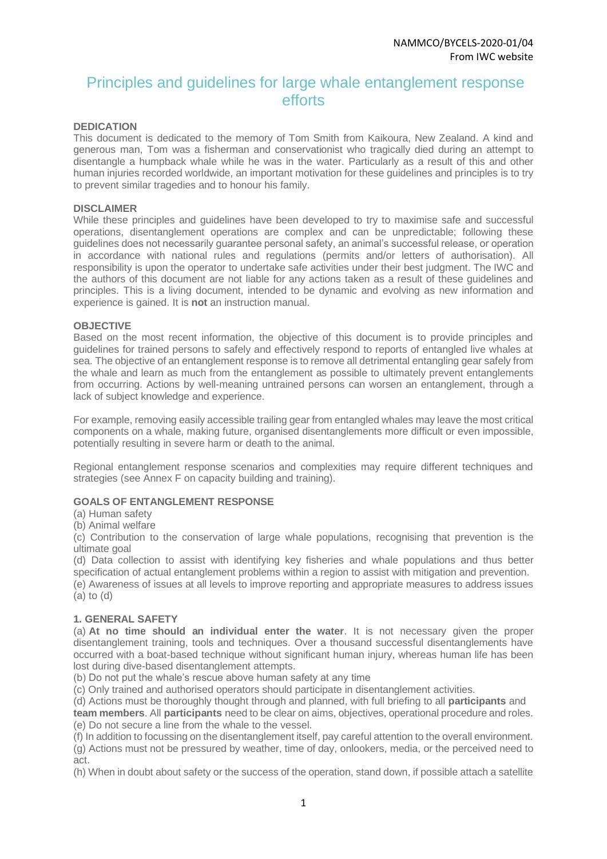# Principles and guidelines for large whale entanglement response efforts

## **DEDICATION**

This document is dedicated to the memory of Tom Smith from Kaikoura, New Zealand. A kind and generous man, Tom was a fisherman and conservationist who tragically died during an attempt to disentangle a humpback whale while he was in the water. Particularly as a result of this and other human injuries recorded worldwide, an important motivation for these guidelines and principles is to try to prevent similar tragedies and to honour his family.

#### **DISCLAIMER**

While these principles and guidelines have been developed to try to maximise safe and successful operations, disentanglement operations are complex and can be unpredictable; following these guidelines does not necessarily guarantee personal safety, an animal's successful release, or operation in accordance with national rules and regulations (permits and/or letters of authorisation). All responsibility is upon the operator to undertake safe activities under their best judgment. The IWC and the authors of this document are not liable for any actions taken as a result of these guidelines and principles. This is a living document, intended to be dynamic and evolving as new information and experience is gained. It is **not** an instruction manual.

#### **OBJECTIVE**

Based on the most recent information, the objective of this document is to provide principles and guidelines for trained persons to safely and effectively respond to reports of entangled live whales at sea. The objective of an entanglement response is to remove all detrimental entangling gear safely from the whale and learn as much from the entanglement as possible to ultimately prevent entanglements from occurring. Actions by well-meaning untrained persons can worsen an entanglement, through a lack of subject knowledge and experience.

For example, removing easily accessible trailing gear from entangled whales may leave the most critical components on a whale, making future, organised disentanglements more difficult or even impossible, potentially resulting in severe harm or death to the animal.

Regional entanglement response scenarios and complexities may require different techniques and strategies (see Annex F on capacity building and training).

#### **GOALS OF ENTANGLEMENT RESPONSE**

(a) Human safety

(b) Animal welfare

(c) Contribution to the conservation of large whale populations, recognising that prevention is the ultimate goal

(d) Data collection to assist with identifying key fisheries and whale populations and thus better specification of actual entanglement problems within a region to assist with mitigation and prevention.

(e) Awareness of issues at all levels to improve reporting and appropriate measures to address issues (a) to (d)

## **1. GENERAL SAFETY**

(a) **At no time should an individual enter the water**. It is not necessary given the proper disentanglement training, tools and techniques. Over a thousand successful disentanglements have occurred with a boat-based technique without significant human injury, whereas human life has been lost during dive-based disentanglement attempts.

(b) Do not put the whale's rescue above human safety at any time

(c) Only trained and authorised operators should participate in disentanglement activities.

(d) Actions must be thoroughly thought through and planned, with full briefing to all **participants** and

**team members**. All **participants** need to be clear on aims, objectives, operational procedure and roles. (e) Do not secure a line from the whale to the vessel.

(f) In addition to focussing on the disentanglement itself, pay careful attention to the overall environment. (g) Actions must not be pressured by weather, time of day, onlookers, media, or the perceived need to act.

(h) When in doubt about safety or the success of the operation, stand down, if possible attach a satellite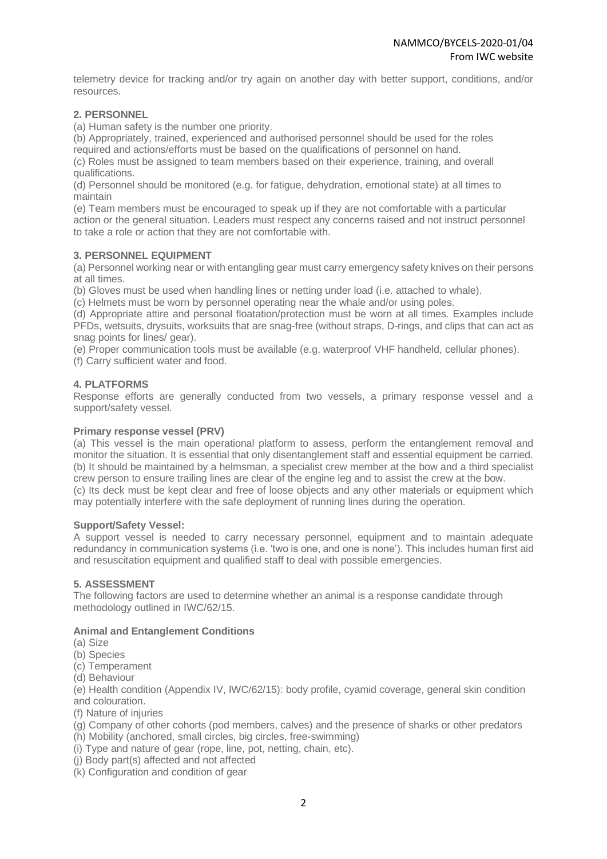telemetry device for tracking and/or try again on another day with better support, conditions, and/or resources.

# **2. PERSONNEL**

(a) Human safety is the number one priority.

(b) Appropriately, trained, experienced and authorised personnel should be used for the roles required and actions/efforts must be based on the qualifications of personnel on hand. (c) Roles must be assigned to team members based on their experience, training, and overall

qualifications.

(d) Personnel should be monitored (e.g. for fatigue, dehydration, emotional state) at all times to maintain

(e) Team members must be encouraged to speak up if they are not comfortable with a particular action or the general situation. Leaders must respect any concerns raised and not instruct personnel to take a role or action that they are not comfortable with.

## **3. PERSONNEL EQUIPMENT**

(a) Personnel working near or with entangling gear must carry emergency safety knives on their persons at all times.

(b) Gloves must be used when handling lines or netting under load (i.e. attached to whale).

(c) Helmets must be worn by personnel operating near the whale and/or using poles.

(d) Appropriate attire and personal floatation/protection must be worn at all times. Examples include PFDs, wetsuits, drysuits, worksuits that are snag-free (without straps, D-rings, and clips that can act as snag points for lines/ gear).

(e) Proper communication tools must be available (e.g. waterproof VHF handheld, cellular phones).

(f) Carry sufficient water and food.

## **4. PLATFORMS**

Response efforts are generally conducted from two vessels, a primary response vessel and a support/safety vessel.

#### **Primary response vessel (PRV)**

(a) This vessel is the main operational platform to assess, perform the entanglement removal and monitor the situation. It is essential that only disentanglement staff and essential equipment be carried. (b) It should be maintained by a helmsman, a specialist crew member at the bow and a third specialist crew person to ensure trailing lines are clear of the engine leg and to assist the crew at the bow. (c) Its deck must be kept clear and free of loose objects and any other materials or equipment which may potentially interfere with the safe deployment of running lines during the operation.

#### **Support/Safety Vessel:**

A support vessel is needed to carry necessary personnel, equipment and to maintain adequate redundancy in communication systems (i.e. 'two is one, and one is none'). This includes human first aid and resuscitation equipment and qualified staff to deal with possible emergencies.

# **5. ASSESSMENT**

The following factors are used to determine whether an animal is a response candidate through methodology outlined in IWC/62/15.

## **Animal and Entanglement Conditions**

- (a) Size
- (b) Species
- (c) Temperament
- (d) Behaviour

(e) Health condition (Appendix IV, IWC/62/15): body profile, cyamid coverage, general skin condition and colouration.

- (f) Nature of injuries
- (g) Company of other cohorts (pod members, calves) and the presence of sharks or other predators
- (h) Mobility (anchored, small circles, big circles, free-swimming)
- (i) Type and nature of gear (rope, line, pot, netting, chain, etc).
- (j) Body part(s) affected and not affected
- (k) Configuration and condition of gear